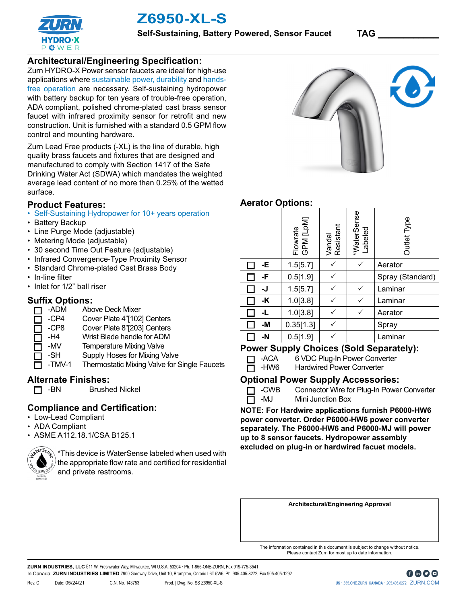

**P 卷 W E F** 

**Self-Sustaining, Battery Powered, Sensor Faucet TAG \_\_\_\_\_\_\_\_\_\_\_\_**

## **Architectural/Engineering Specification:**

Zurn HYDRO-X Power sensor faucets are ideal for high-use applications where sustainable power, durability and handsfree operation are necessary. Self-sustaining hydropower with battery backup for ten years of trouble-free operation, ADA compliant, polished chrome-plated cast brass sensor faucet with infrared proximity sensor for retrofit and new construction. Unit is furnished with a standard 0.5 GPM flow control and mounting hardware.

Zurn Lead Free products (-XL) is the line of durable, high quality brass faucets and fixtures that are designed and manufactured to comply with Section 1417 of the Safe Drinking Water Act (SDWA) which mandates the weighted average lead content of no more than 0.25% of the wetted surface.

### **Product Features:**

- Self-Sustaining Hydropower for 10+ years operation
- Battery Backup
- Line Purge Mode (adjustable)
- Metering Mode (adjustable)
- 30 second Time Out Feature (adjustable)
- Infrared Convergence-Type Proximity Sensor
- Standard Chrome-plated Cast Brass Body
- In-line filter
- Inlet for 1/2" ball riser

### **Suffix Options:**

- -ADM Above Deck Mixer  $\Box$
- -CP4 Cover Plate 4"[102] Centers П
- -CP8 Cover Plate 8"[203] Centers  $\Box$
- -H4 Wrist Blade handle for ADM  $\Box$
- -MV Temperature Mixing Valve  $\Box$ 
	- -SH Supply Hoses for Mixing Valve
	- -TMV-1 Thermostatic Mixing Valve for Single Faucets

### **Alternate Finishes:**

**n** -BN Brushed Nickel

# **Compliance and Certification:**

- Low-Lead Compliant
- ADA Compliant
- ASME A112.18.1/CSA B125.1



\*This device is WaterSense labeled when used with the appropriate flow rate and certified for residential and private restrooms.



# **Aerator Options:**

|    | Flowrate<br>GPM [LpM] | Vandal<br>Resistant | *WaterSense<br>Labeled | Outlet Type      |
|----|-----------------------|---------------------|------------------------|------------------|
| -E | 1.5[5.7]              |                     |                        | Aerator          |
| -F | 0.5[1.9]              |                     |                        | Spray (Standard) |
| -J | 1.5[5.7]              |                     |                        | Laminar          |
| -K | 1.0[3.8]              |                     |                        | Laminar          |
| -L | 1.0[3.8]              |                     |                        | Aerator          |
| -M | 0.35[1.3]             |                     |                        | Spray            |
| -N | 0.5[1.9]              |                     |                        | Laminar          |

## **Power Supply Choices (Sold Separately):**

- T -ACA 6 VDC Plug-In Power Converter
- 
- -HW6 Hardwired Power Converter

### **Optional Power Supply Accessories:**

- **T** -CWB Connector Wire for Plug-In Power Converter
- $\overline{\Box}$  -MJ Mini Junction Box

**NOTE: For Hardwire applications furnish P6000-HW6 power converter. Order P6000-HW6 power converter separately. The P6000-HW6 and P6000-MJ will power up to 8 sensor faucets. Hydropower assembly excluded on plug-in or hardwired facuet models.** 

**Architectural/Engineering Approval**

The information contained in this document is subject to change without notice. Please contact Zurn for most up to date information.

**ZURN INDUSTRIES, LLC** 511 W. Freshwater Way, Milwaukee, WI U.S.A. 53204 · Ph. 1-855-ONE-ZURN, Fax 919-775-3541 In Canada: **ZURN INDUSTRIES LIMITED** 7900 Goreway Drive, Unit 10, Brampton, Ontario L6T 5W6, Ph. 905-405-8272, Fax 905-405-1292